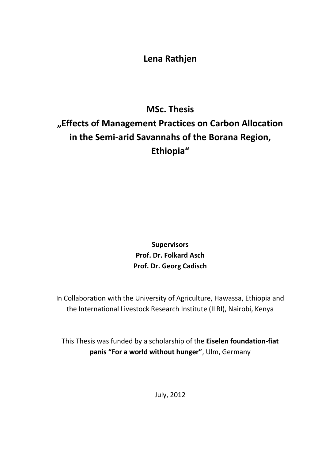## **Lena Rathjen**

## **MSc. Thesis "Effects of Management Practices on Carbon Allocation in the Semi-arid Savannahs of the Borana Region, Ethiopia"**

**Supervisors Prof. Dr. Folkard Asch Prof. Dr. Georg Cadisch**

In Collaboration with the University of Agriculture, Hawassa, Ethiopia and the International Livestock Research Institute (ILRI), Nairobi, Kenya

This Thesis was funded by a scholarship of the **Eiselen foundation-fiat panis "For a world without hunger"**, Ulm, Germany

July, 2012